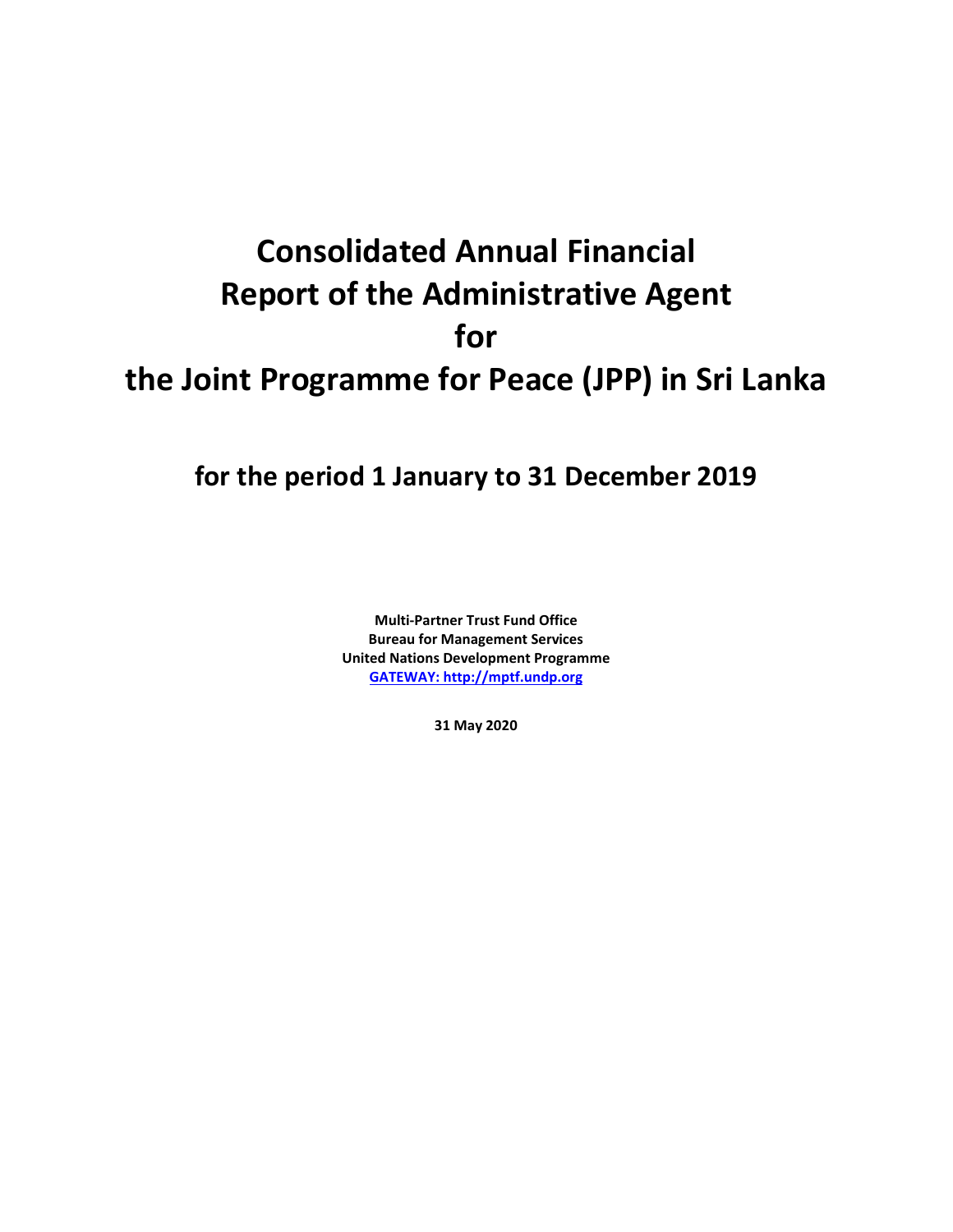# **Consolidated Annual Financial Report of the Administrative Agent for the Joint Programme for Peace (JPP) in Sri Lanka**

## **for the period 1 January to 31 December 2019**

**Multi-Partner Trust Fund Office Bureau for Management Services United Nations Development Programme [GATEWAY: http://mptf.undp.org](http://mptf.undp.org/)**

**31 May 2020**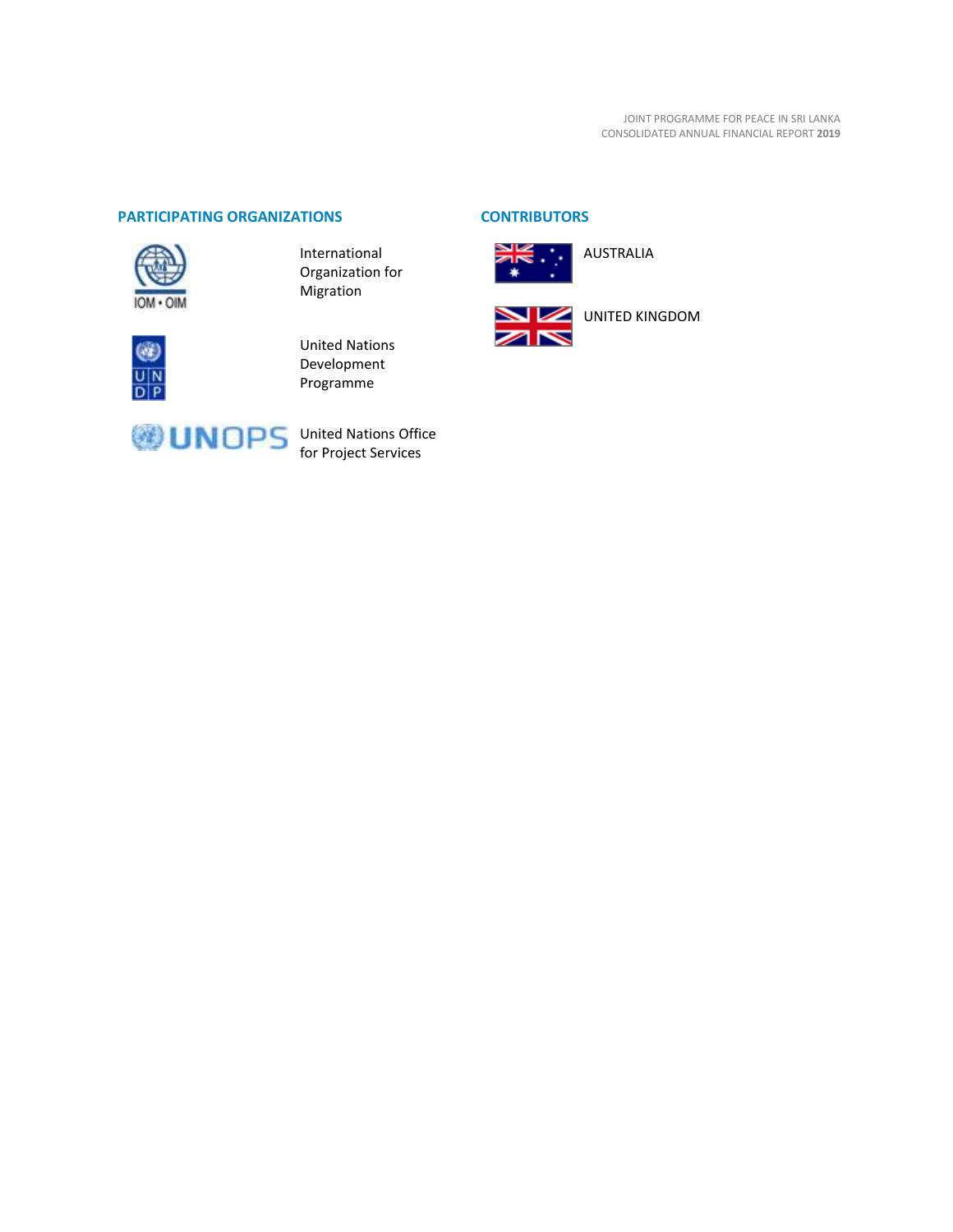#### **PARTICIPATING ORGANIZATIONS CONTRIBUTORS**



International Organization for Migration



United Nations Development Programme





AUSTRALIA





United Nations Office for Project Services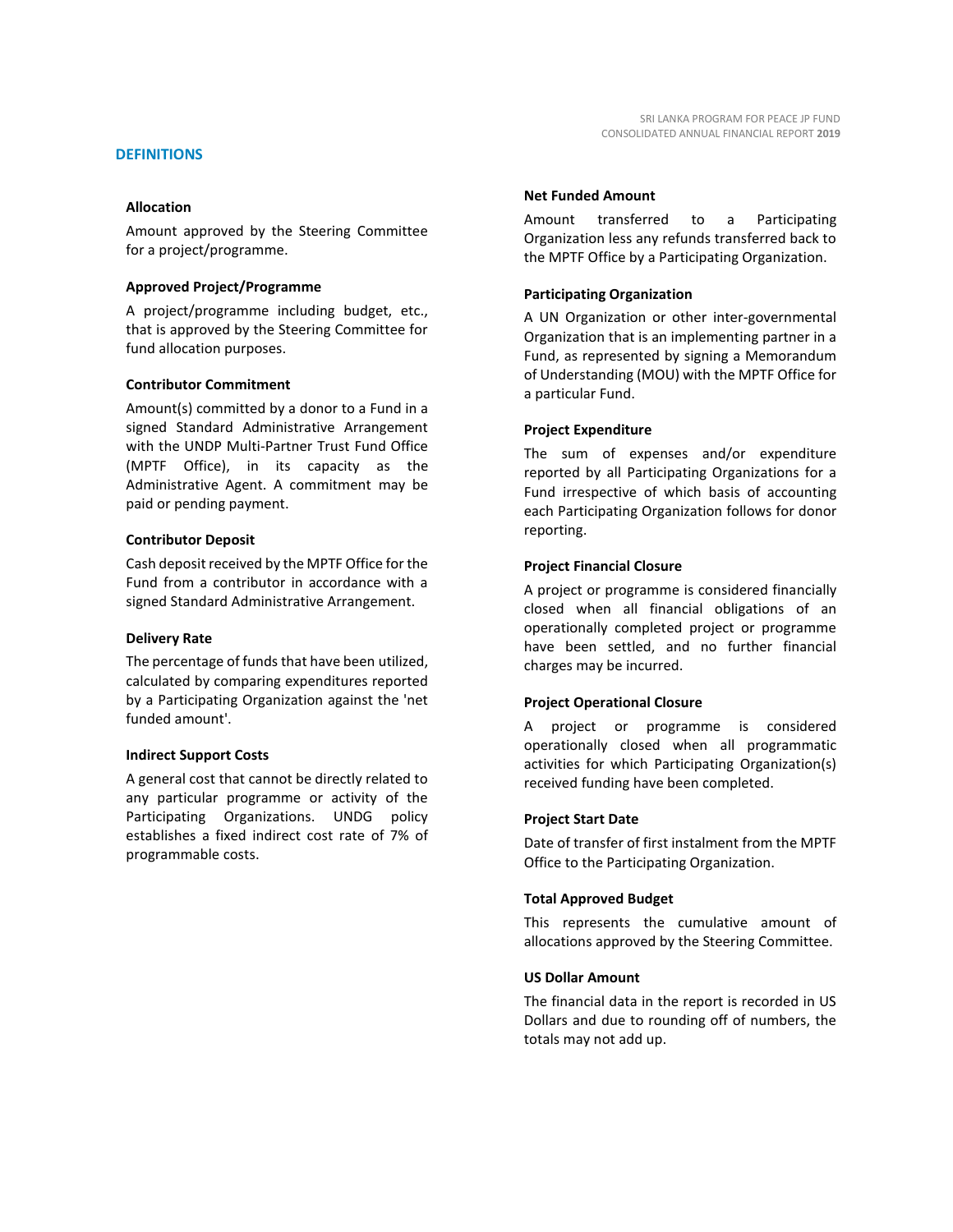#### **DEFINITIONS**

#### **Allocation**

Amount approved by the Steering Committee for a project/programme.

#### **Approved Project/Programme**

A project/programme including budget, etc., that is approved by the Steering Committee for fund allocation purposes.

#### **Contributor Commitment**

Amount(s) committed by a donor to a Fund in a signed Standard Administrative Arrangement with the UNDP Multi-Partner Trust Fund Office (MPTF Office), in its capacity as the Administrative Agent. A commitment may be paid or pending payment.

#### **Contributor Deposit**

Cash deposit received by the MPTF Office for the Fund from a contributor in accordance with a signed Standard Administrative Arrangement.

#### **Delivery Rate**

The percentage of funds that have been utilized, calculated by comparing expenditures reported by a Participating Organization against the 'net funded amount'.

#### **Indirect Support Costs**

A general cost that cannot be directly related to any particular programme or activity of the Participating Organizations. UNDG policy establishes a fixed indirect cost rate of 7% of programmable costs.

#### **Net Funded Amount**

Amount transferred to a Participating Organization less any refunds transferred back to the MPTF Office by a Participating Organization.

#### **Participating Organization**

A UN Organization or other inter-governmental Organization that is an implementing partner in a Fund, as represented by signing a Memorandum of Understanding (MOU) with the MPTF Office for a particular Fund.

#### **Project Expenditure**

The sum of expenses and/or expenditure reported by all Participating Organizations for a Fund irrespective of which basis of accounting each Participating Organization follows for donor reporting.

#### **Project Financial Closure**

A project or programme is considered financially closed when all financial obligations of an operationally completed project or programme have been settled, and no further financial charges may be incurred.

#### **Project Operational Closure**

A project or programme is considered operationally closed when all programmatic activities for which Participating Organization(s) received funding have been completed.

#### **Project Start Date**

Date of transfer of first instalment from the MPTF Office to the Participating Organization.

#### **Total Approved Budget**

This represents the cumulative amount of allocations approved by the Steering Committee.

#### **US Dollar Amount**

The financial data in the report is recorded in US Dollars and due to rounding off of numbers, the totals may not add up.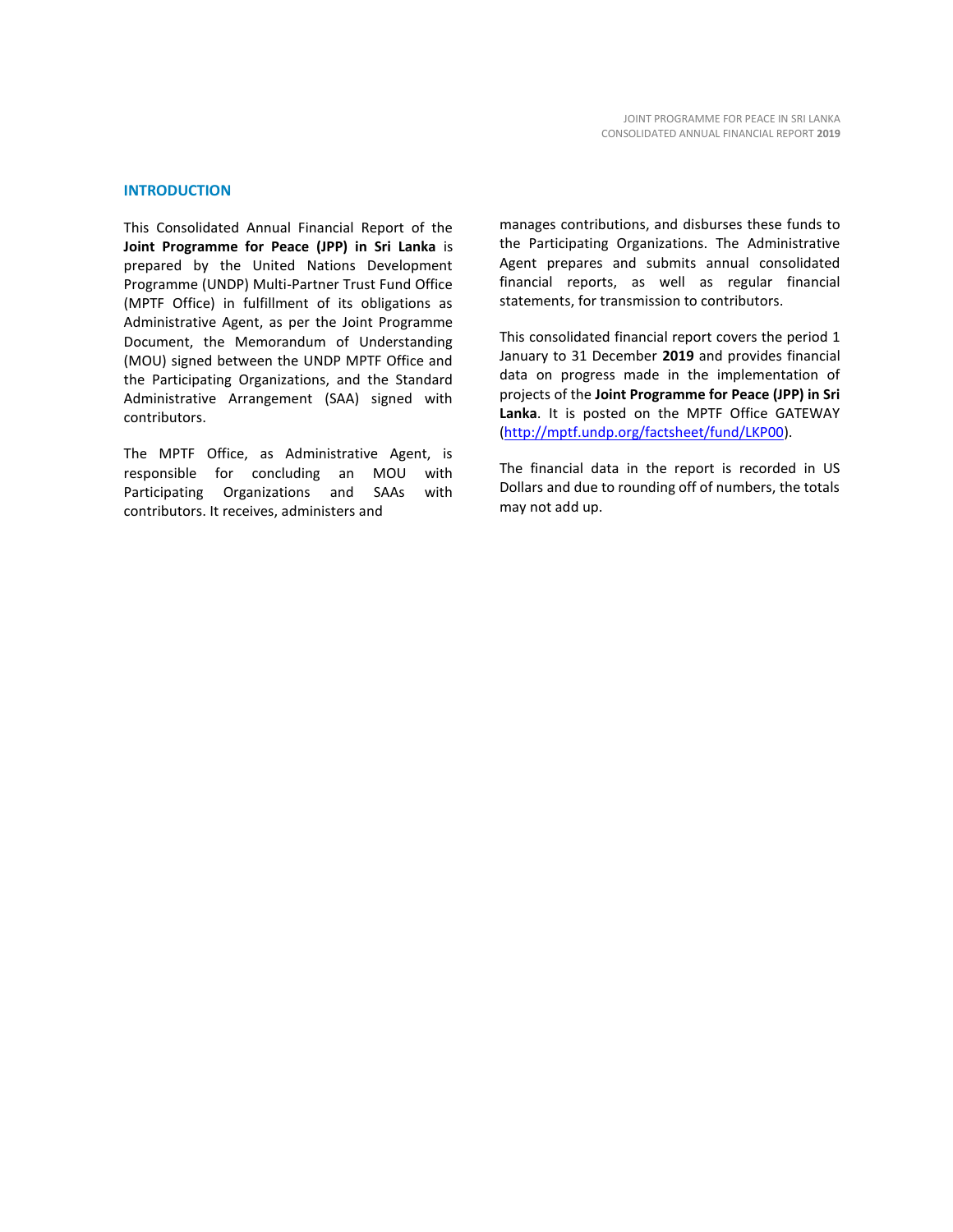#### **INTRODUCTION**

This Consolidated Annual Financial Report of the **Joint Programme for Peace (JPP) in Sri Lanka** is prepared by the United Nations Development Programme (UNDP) Multi-Partner Trust Fund Office (MPTF Office) in fulfillment of its obligations as Administrative Agent, as per the Joint Programme Document, the Memorandum of Understanding (MOU) signed between the UNDP MPTF Office and the Participating Organizations, and the Standard Administrative Arrangement (SAA) signed with contributors.

The MPTF Office, as Administrative Agent, is responsible for concluding an MOU with Participating Organizations and SAAs with contributors. It receives, administers and

manages contributions, and disburses these funds to the Participating Organizations. The Administrative Agent prepares and submits annual consolidated financial reports, as well as regular financial statements, for transmission to contributors.

This consolidated financial report covers the period 1 January to 31 December **2019** and provides financial data on progress made in the implementation of projects of the **Joint Programme for Peace (JPP) in Sri Lanka**. It is posted on the MPTF Office GATEWAY [\(http://mptf.undp.org/factsheet/fund/LKP00\)](http://mptf.undp.org/factsheet/fund/LKP00).

The financial data in the report is recorded in US Dollars and due to rounding off of numbers, the totals may not add up.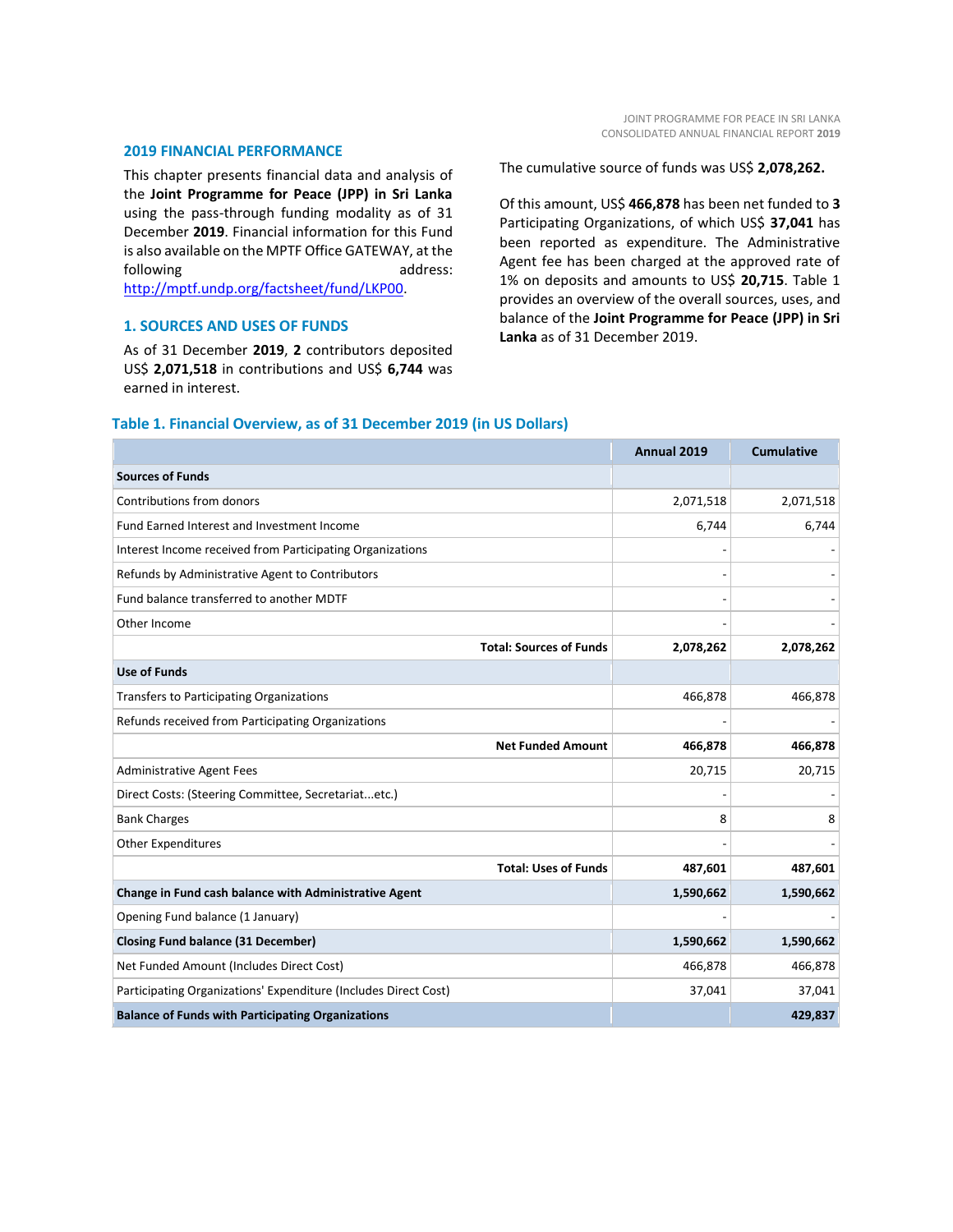#### **2019 FINANCIAL PERFORMANCE**

This chapter presents financial data and analysis of the **Joint Programme for Peace (JPP) in Sri Lanka** using the pass-through funding modality as of 31 December **2019**. Financial information for this Fund is also available on the MPTF Office GATEWAY, at the following and a control of the control of the analysis and a control of the analysis and a control of the analysis and the set of the analysis of the analysis and the set of the set of the set of the set of the set of the [http://mptf.undp.org/factsheet/fund/LKP00.](http://mptf.undp.org/factsheet/fund/LKP00) 

#### **1. SOURCES AND USES OF FUNDS**

As of 31 December **2019**, **2** contributors deposited US\$ **2,071,518** in contributions and US\$ **6,744** was earned in interest.

The cumulative source of funds was US\$ **2,078,262.**

Of this amount, US\$ **466,878** has been net funded to **3** Participating Organizations, of which US\$ **37,041** has been reported as expenditure. The Administrative Agent fee has been charged at the approved rate of 1% on deposits and amounts to US\$ **20,715**. Table 1 provides an overview of the overall sources, uses, and balance of the **Joint Programme for Peace (JPP) in Sri Lanka** as of 31 December 2019.

### **Annual 2019 Cumulative Sources of Funds** Contributions from donors 2,071,518 2,071,518 Fund Earned Interest and Investment Income 6,744 6,744 6,744 6,744 6,744 6,744 6,744 6,744 6,744 6,744 6,744 6,744 6,744 6,744 6,744 6,744 6,744 6,744 6,744 6,744 6,744 6,744 6,744 6,744 6,744 6,744 6,744 6,744 6,744 6,744 Interest Income received from Participating Organizations Refunds by Administrative Agent to Contributors Fund balance transferred to another MDTF Other Income - - **Total: Sources of Funds 2,078,262 2,078,262 Use of Funds** Transfers to Participating Organizations 466,878 466,878 466,878 466,878 466,878 466,878 466,878 466,878 466,878 Refunds received from Participating Organizations **Net Funded Amount 466,878 466,878** Administrative Agent Fees 20,715 20,715 20,715 20,715 20,715 20,715 20,715 20,715 20,715 20,715 20,715 20,715 Direct Costs: (Steering Committee, Secretariat...etc.) Bank Charges 8 8 Other Expenditures **Total: Uses of Funds 487,601 487,601 Change in Fund cash balance with Administrative Agent 1,590,662 1,590,662** Opening Fund balance (1 January)

**Closing Fund balance (31 December) 1,590,662 1,590,662** Net Funded Amount (Includes Direct Cost) 466,878 466,878 Participating Organizations' Expenditure (Includes Direct Cost) 37,041 37,041 37,041 **Balance of Funds with Participating Organizations 429,837**

#### **Table 1. Financial Overview, as of 31 December 2019 (in US Dollars)**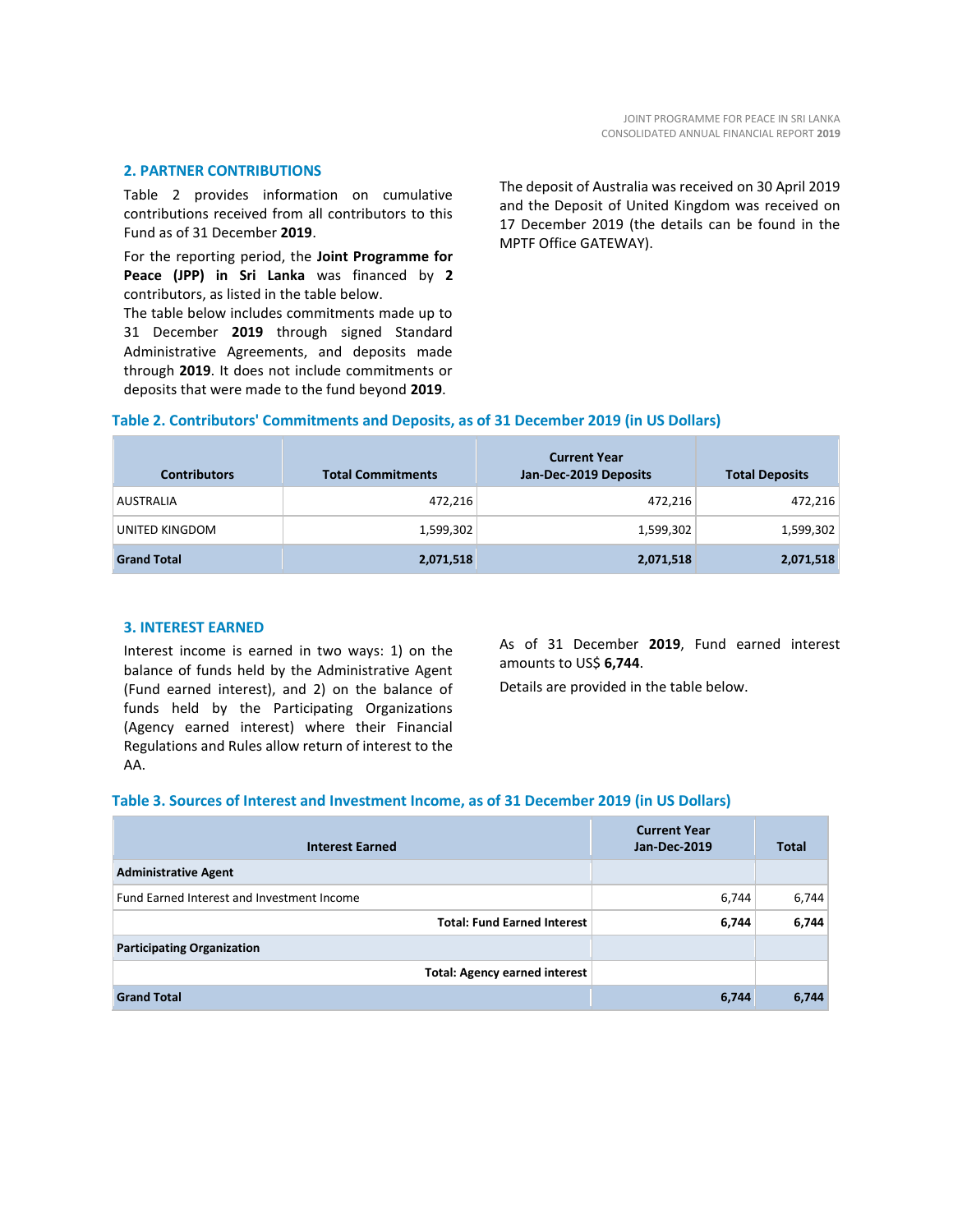#### **2. PARTNER CONTRIBUTIONS**

Table 2 provides information on cumulative contributions received from all contributors to this Fund as of 31 December **2019**.

For the reporting period, the **Joint Programme for Peace (JPP) in Sri Lanka** was financed by **2** contributors, as listed in the table below.

The table below includes commitments made up to 31 December **2019** through signed Standard Administrative Agreements, and deposits made through **2019**. It does not include commitments or deposits that were made to the fund beyond **2019**.

The deposit of Australia was received on 30 April 2019 and the Deposit of United Kingdom was received on 17 December 2019 (the details can be found in the MPTF Office GATEWAY).

#### **Table 2. Contributors' Commitments and Deposits, as of 31 December 2019 (in US Dollars)**

| <b>Contributors</b> | <b>Total Commitments</b> | <b>Current Year</b><br>Jan-Dec-2019 Deposits | <b>Total Deposits</b> |
|---------------------|--------------------------|----------------------------------------------|-----------------------|
| <b>AUSTRALIA</b>    | 472,216                  | 472,216                                      | 472,216               |
| UNITED KINGDOM      | 1,599,302                | 1,599,302                                    | 1,599,302             |
| <b>Grand Total</b>  | 2,071,518                | 2,071,518                                    | 2,071,518             |

#### **3. INTEREST EARNED**

Interest income is earned in two ways: 1) on the balance of funds held by the Administrative Agent (Fund earned interest), and 2) on the balance of funds held by the Participating Organizations (Agency earned interest) where their Financial Regulations and Rules allow return of interest to the AA.

As of 31 December **2019**, Fund earned interest amounts to US\$ **6,744**.

Details are provided in the table below.

#### **Table 3. Sources of Interest and Investment Income, as of 31 December 2019 (in US Dollars)**

| <b>Interest Earned</b>                     | <b>Current Year</b><br>Jan-Dec-2019 | <b>Total</b> |
|--------------------------------------------|-------------------------------------|--------------|
| <b>Administrative Agent</b>                |                                     |              |
| Fund Earned Interest and Investment Income | 6,744                               | 6,744        |
| <b>Total: Fund Earned Interest</b>         | 6,744                               | 6,744        |
| <b>Participating Organization</b>          |                                     |              |
| <b>Total: Agency earned interest</b>       |                                     |              |
| <b>Grand Total</b>                         | 6,744                               | 6,744        |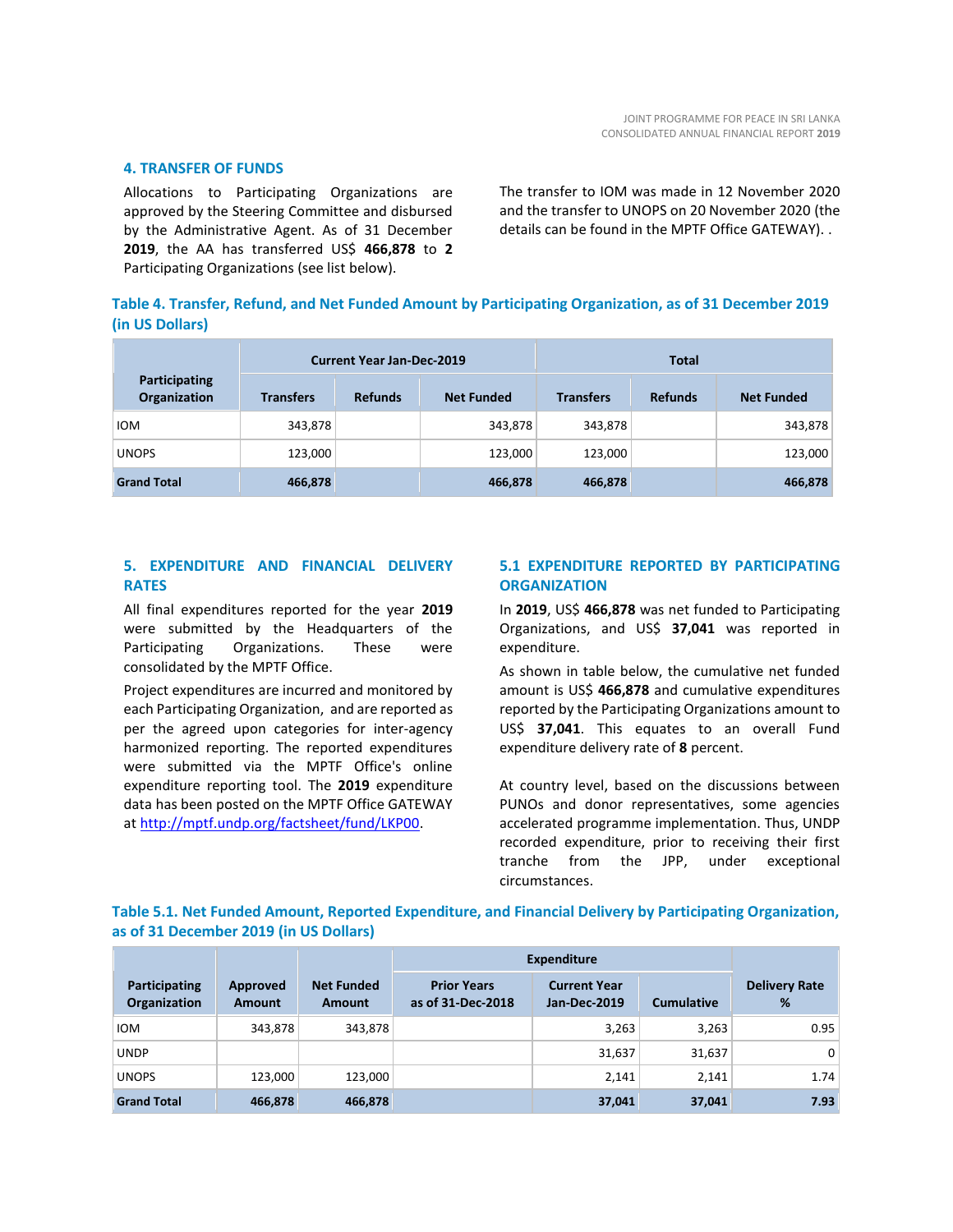#### **4. TRANSFER OF FUNDS**

Allocations to Participating Organizations are approved by the Steering Committee and disbursed by the Administrative Agent. As of 31 December **2019**, the AA has transferred US\$ **466,878** to **2** Participating Organizations (see list below).

The transfer to IOM was made in 12 November 2020 and the transfer to UNOPS on 20 November 2020 (the details can be found in the MPTF Office GATEWAY). .

#### **Table 4. Transfer, Refund, and Net Funded Amount by Participating Organization, as of 31 December 2019 (in US Dollars)**

|                               | <b>Current Year Jan-Dec-2019</b> |                |                   | <b>Total</b>     |                |                   |
|-------------------------------|----------------------------------|----------------|-------------------|------------------|----------------|-------------------|
| Participating<br>Organization | <b>Transfers</b>                 | <b>Refunds</b> | <b>Net Funded</b> | <b>Transfers</b> | <b>Refunds</b> | <b>Net Funded</b> |
| <b>IOM</b>                    | 343,878                          |                | 343,878           | 343,878          |                | 343,878           |
| <b>UNOPS</b>                  | 123,000                          |                | 123,000           | 123,000          |                | 123,000           |
| <b>Grand Total</b>            | 466,878                          |                | 466,878           | 466,878          |                | 466,878           |

#### **5. EXPENDITURE AND FINANCIAL DELIVERY RATES**

All final expenditures reported for the year **2019** were submitted by the Headquarters of the Participating Organizations. These were consolidated by the MPTF Office.

Project expenditures are incurred and monitored by each Participating Organization, and are reported as per the agreed upon categories for inter-agency harmonized reporting. The reported expenditures were submitted via the MPTF Office's online expenditure reporting tool. The **2019** expenditure data has been posted on the MPTF Office GATEWAY at [http://mptf.undp.org/factsheet/fund/LKP00.](http://mptf.undp.org/factsheet/fund/LKP00)

#### **5.1 EXPENDITURE REPORTED BY PARTICIPATING ORGANIZATION**

In **2019**, US\$ **466,878** was net funded to Participating Organizations, and US\$ **37,041** was reported in expenditure.

As shown in table below, the cumulative net funded amount is US\$ **466,878** and cumulative expenditures reported by the Participating Organizations amount to US\$ **37,041**. This equates to an overall Fund expenditure delivery rate of **8** percent.

At country level, based on the discussions between PUNOs and donor representatives, some agencies accelerated programme implementation. Thus, UNDP recorded expenditure, prior to receiving their first tranche from the JPP, under exceptional circumstances.

#### **Table 5.1. Net Funded Amount, Reported Expenditure, and Financial Delivery by Participating Organization, as of 31 December 2019 (in US Dollars)**

|                                      |                           |                                    | <b>Expenditure</b>                      |                                            |                   |                           |
|--------------------------------------|---------------------------|------------------------------------|-----------------------------------------|--------------------------------------------|-------------------|---------------------------|
| Participating<br><b>Organization</b> | Approved<br><b>Amount</b> | <b>Net Funded</b><br><b>Amount</b> | <b>Prior Years</b><br>as of 31-Dec-2018 | <b>Current Year</b><br><b>Jan-Dec-2019</b> | <b>Cumulative</b> | <b>Delivery Rate</b><br>% |
| <b>IOM</b>                           | 343,878                   | 343,878                            |                                         | 3,263                                      | 3,263             | 0.95                      |
| <b>UNDP</b>                          |                           |                                    |                                         | 31,637                                     | 31,637            | 0                         |
| <b>UNOPS</b>                         | 123,000                   | 123,000                            |                                         | 2,141                                      | 2.141             | 1.74                      |
| <b>Grand Total</b>                   | 466,878                   | 466,878                            |                                         | 37,041                                     | 37,041            | 7.93                      |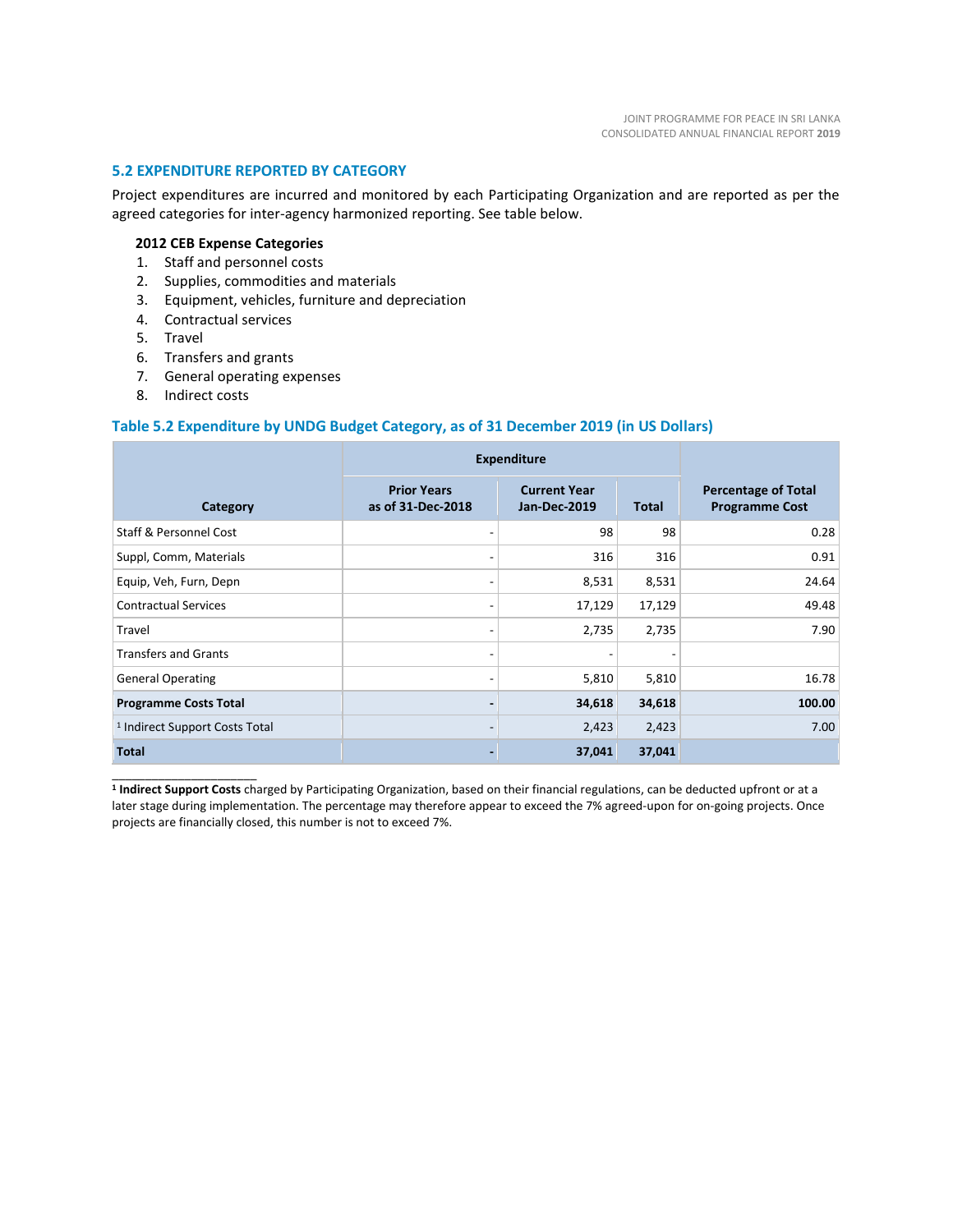#### **5.2 EXPENDITURE REPORTED BY CATEGORY**

Project expenditures are incurred and monitored by each Participating Organization and are reported as per the agreed categories for inter-agency harmonized reporting. See table below.

#### **2012 CEB Expense Categories**

- 1. Staff and personnel costs
- 2. Supplies, commodities and materials
- 3. Equipment, vehicles, furniture and depreciation
- 4. Contractual services
- 5. Travel
- 6. Transfers and grants
- 7. General operating expenses
- 8. Indirect costs

\_\_\_\_\_\_\_\_\_\_\_\_\_\_\_\_\_\_\_\_\_\_

#### **Table 5.2 Expenditure by UNDG Budget Category, as of 31 December 2019 (in US Dollars)**

|                                           | <b>Expenditure</b>                      |                                            |              |                                                     |
|-------------------------------------------|-----------------------------------------|--------------------------------------------|--------------|-----------------------------------------------------|
| Category                                  | <b>Prior Years</b><br>as of 31-Dec-2018 | <b>Current Year</b><br><b>Jan-Dec-2019</b> | <b>Total</b> | <b>Percentage of Total</b><br><b>Programme Cost</b> |
| Staff & Personnel Cost                    |                                         | 98                                         | 98           | 0.28                                                |
| Suppl, Comm, Materials                    | -                                       | 316                                        | 316          | 0.91                                                |
| Equip, Veh, Furn, Depn                    | -                                       | 8,531                                      | 8,531        | 24.64                                               |
| <b>Contractual Services</b>               |                                         | 17,129                                     | 17,129       | 49.48                                               |
| Travel                                    |                                         | 2,735                                      | 2,735        | 7.90                                                |
| <b>Transfers and Grants</b>               | -                                       |                                            |              |                                                     |
| <b>General Operating</b>                  |                                         | 5,810                                      | 5,810        | 16.78                                               |
| <b>Programme Costs Total</b>              |                                         | 34,618                                     | 34,618       | 100.00                                              |
| <sup>1</sup> Indirect Support Costs Total |                                         | 2,423                                      | 2,423        | 7.00                                                |
| <b>Total</b>                              |                                         | 37,041                                     | 37,041       |                                                     |

**1 Indirect Support Costs** charged by Participating Organization, based on their financial regulations, can be deducted upfront or at a later stage during implementation. The percentage may therefore appear to exceed the 7% agreed-upon for on-going projects. Once projects are financially closed, this number is not to exceed 7%.